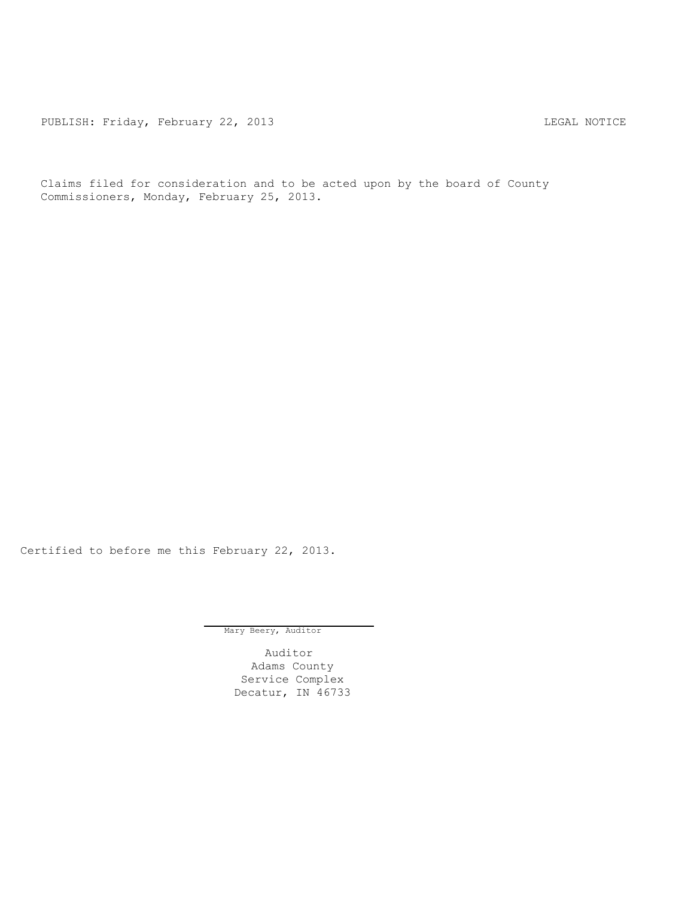PUBLISH: Friday, February 22, 2013 CHA CHARL MOTICE

Claims filed for consideration and to be acted upon by the board of County Commissioners, Monday, February 25, 2013.

Certified to before me this February 22, 2013.

Mary Beery, Auditor

Auditor Adams County Service Complex Decatur, IN 46733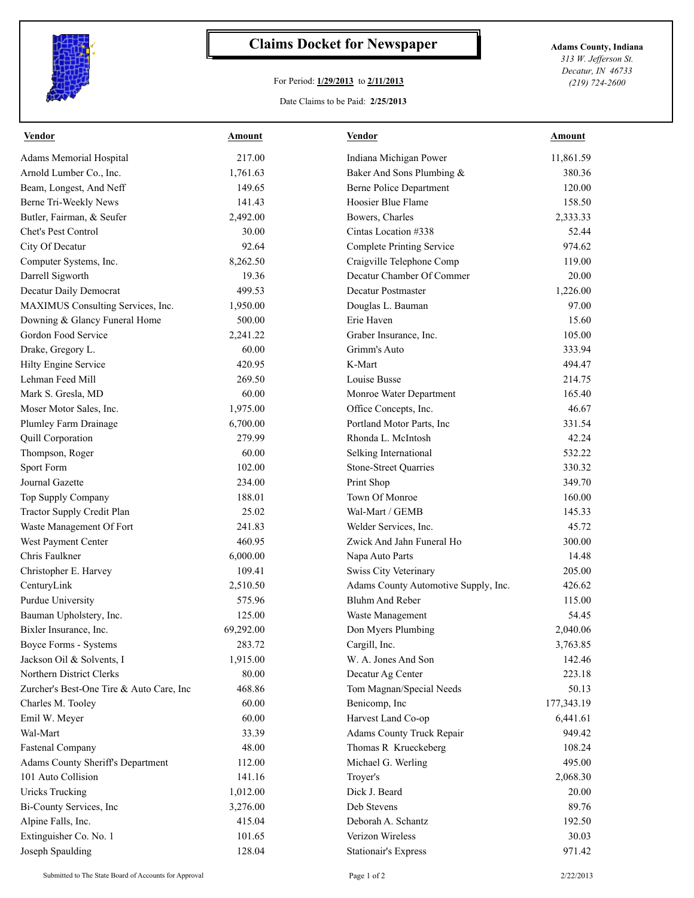

## **Claims Docket for Newspaper Adams County, Indiana**

## For Period: **1/29/2013** to **2/11/2013**

*313 W. Jefferson St. Decatur, IN 46733 (219) 724-2600*

## Date Claims to be Paid: **2/25/2013**

| <b>Vendor</b>                            | <b>Amount</b> | <b>Vendor</b>                        | <b>Amount</b> |
|------------------------------------------|---------------|--------------------------------------|---------------|
| Adams Memorial Hospital                  | 217.00        | Indiana Michigan Power               | 11,861.59     |
| Arnold Lumber Co., Inc.                  | 1,761.63      | Baker And Sons Plumbing &            | 380.36        |
| Beam, Longest, And Neff                  | 149.65        | <b>Berne Police Department</b>       | 120.00        |
| Berne Tri-Weekly News                    | 141.43        | Hoosier Blue Flame                   | 158.50        |
| Butler, Fairman, & Seufer                | 2,492.00      | Bowers, Charles                      | 2,333.33      |
| Chet's Pest Control                      | 30.00         | Cintas Location #338                 | 52.44         |
| City Of Decatur                          | 92.64         | <b>Complete Printing Service</b>     | 974.62        |
| Computer Systems, Inc.                   | 8,262.50      | Craigville Telephone Comp            | 119.00        |
| Darrell Sigworth                         | 19.36         | Decatur Chamber Of Commer            | 20.00         |
| Decatur Daily Democrat                   | 499.53        | Decatur Postmaster                   | 1,226.00      |
| MAXIMUS Consulting Services, Inc.        | 1,950.00      | Douglas L. Bauman                    | 97.00         |
| Downing & Glancy Funeral Home            | 500.00        | Erie Haven                           | 15.60         |
| Gordon Food Service                      | 2,241.22      | Graber Insurance, Inc.               | 105.00        |
| Drake, Gregory L.                        | 60.00         | Grimm's Auto                         | 333.94        |
| Hilty Engine Service                     | 420.95        | K-Mart                               | 494.47        |
| Lehman Feed Mill                         | 269.50        | Louise Busse                         | 214.75        |
| Mark S. Gresla, MD                       | 60.00         | Monroe Water Department              | 165.40        |
| Moser Motor Sales, Inc.                  | 1,975.00      | Office Concepts, Inc.                | 46.67         |
| Plumley Farm Drainage                    | 6,700.00      | Portland Motor Parts, Inc            | 331.54        |
| Quill Corporation                        | 279.99        | Rhonda L. McIntosh                   | 42.24         |
| Thompson, Roger                          | 60.00         | Selking International                | 532.22        |
| Sport Form                               | 102.00        | <b>Stone-Street Quarries</b>         | 330.32        |
| Journal Gazette                          | 234.00        | Print Shop                           | 349.70        |
| Top Supply Company                       | 188.01        | Town Of Monroe                       | 160.00        |
| Tractor Supply Credit Plan               | 25.02         | Wal-Mart / GEMB                      | 145.33        |
| Waste Management Of Fort                 | 241.83        | Welder Services, Inc.                | 45.72         |
| West Payment Center                      | 460.95        | Zwick And Jahn Funeral Ho            | 300.00        |
| Chris Faulkner                           | 6,000.00      | Napa Auto Parts                      | 14.48         |
| Christopher E. Harvey                    | 109.41        | Swiss City Veterinary                | 205.00        |
| CenturyLink                              | 2,510.50      | Adams County Automotive Supply, Inc. | 426.62        |
| Purdue University                        | 575.96        | <b>Bluhm And Reber</b>               | 115.00        |
| Bauman Upholstery, Inc.                  | 125.00        | Waste Management                     | 54.45         |
| Bixler Insurance, Inc.                   | 69,292.00     | Don Myers Plumbing                   | 2,040.06      |
| Boyce Forms - Systems                    | 283.72        | Cargill, Inc.                        | 3,763.85      |
| Jackson Oil & Solvents, I                | 1,915.00      | W. A. Jones And Son                  | 142.46        |
| Northern District Clerks                 | 80.00         | Decatur Ag Center                    | 223.18        |
| Zurcher's Best-One Tire & Auto Care, Inc | 468.86        | Tom Magnan/Special Needs             | 50.13         |
| Charles M. Tooley                        | 60.00         | Benicomp, Inc                        | 177,343.19    |
| Emil W. Meyer                            | 60.00         | Harvest Land Co-op                   | 6,441.61      |
| Wal-Mart                                 | 33.39         | Adams County Truck Repair            | 949.42        |
| <b>Fastenal Company</b>                  | 48.00         | Thomas R Krueckeberg                 | 108.24        |
| Adams County Sheriff's Department        | 112.00        | Michael G. Werling                   | 495.00        |
| 101 Auto Collision                       | 141.16        | Troyer's                             | 2,068.30      |
| <b>Uricks Trucking</b>                   | 1,012.00      | Dick J. Beard                        | 20.00         |
|                                          |               | Deb Stevens                          | 89.76         |
| Bi-County Services, Inc                  | 3,276.00      |                                      |               |
| Alpine Falls, Inc.                       | 415.04        | Deborah A. Schantz                   | 192.50        |
| Extinguisher Co. No. 1                   | 101.65        | Verizon Wireless                     | 30.03         |
| Joseph Spaulding                         | 128.04        | <b>Stationair's Express</b>          | 971.42        |